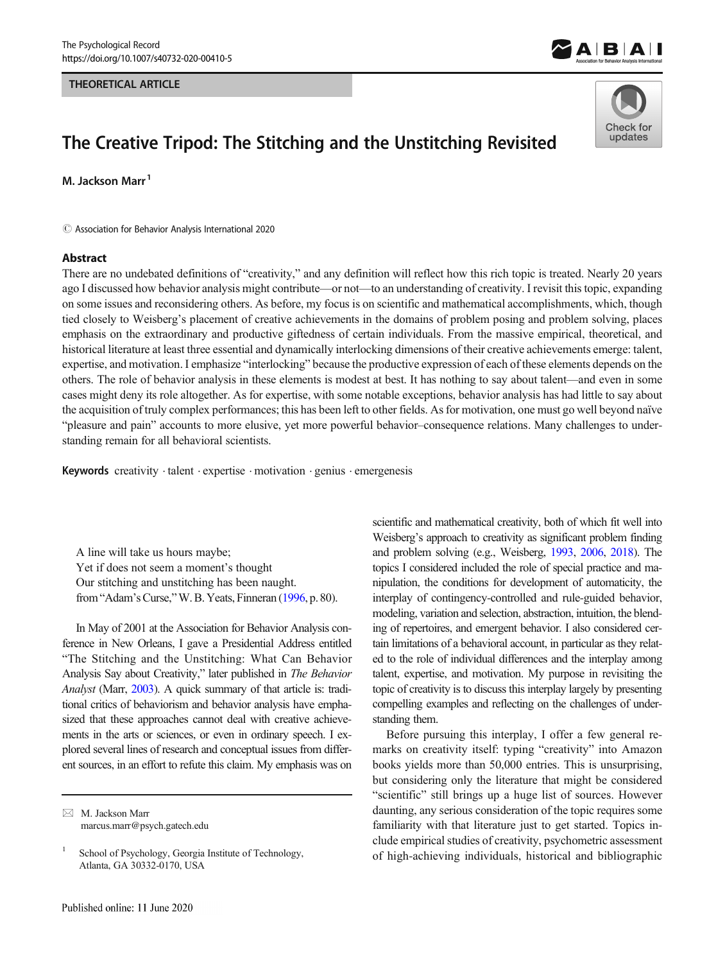#### THEORETICAL ARTICLE

# The Creative Tripod: The Stitching and the Unstitching Revisited

M. Jackson Marr<sup>1</sup>

 $\odot$  Association for Behavior Analysis International 2020

#### **Abstract**





There are no undebated definitions of "creativity," and any definition will reflect how this rich topic is treated. Nearly 20 years ago I discussed how behavior analysis might contribute—or not—to an understanding of creativity. I revisit this topic, expanding on some issues and reconsidering others. As before, my focus is on scientific and mathematical accomplishments, which, though tied closely to Weisberg's placement of creative achievements in the domains of problem posing and problem solving, places emphasis on the extraordinary and productive giftedness of certain individuals. From the massive empirical, theoretical, and historical literature at least three essential and dynamically interlocking dimensions of their creative achievements emerge: talent, expertise, and motivation. I emphasize "interlocking" because the productive expression of each of these elements depends on the others. The role of behavior analysis in these elements is modest at best. It has nothing to say about talent—and even in some cases might deny its role altogether. As for expertise, with some notable exceptions, behavior analysis has had little to say about the acquisition of truly complex performances; this has been left to other fields. As for motivation, one must go well beyond naïve "pleasure and pain" accounts to more elusive, yet more powerful behavior–consequence relations. Many challenges to understanding remain for all behavioral scientists.

Keywords creativity . talent . expertise . motivation . genius . emergenesis

A line will take us hours maybe; Yet if does not seem a moment's thought Our stitching and unstitching has been naught. from "Adam's Curse," W.B. Yeats, Finneran [\(1996,](#page-5-0) p. 80).

In May of 2001 at the Association for Behavior Analysis conference in New Orleans, I gave a Presidential Address entitled "The Stitching and the Unstitching: What Can Behavior Analysis Say about Creativity," later published in *The Behavior Analyst* (Marr, [2003](#page-5-0)). A quick summary of that article is: traditional critics of behaviorism and behavior analysis have emphasized that these approaches cannot deal with creative achievements in the arts or sciences, or even in ordinary speech. I explored several lines of research and conceptual issues from different sources, in an effort to refute this claim. My emphasis was on scientific and mathematical creativity, both of which fit well into Weisberg's approach to creativity as significant problem finding and problem solving (e.g., Weisberg, [1993](#page-5-0), [2006,](#page-6-0) [2018\)](#page-6-0). The topics I considered included the role of special practice and manipulation, the conditions for development of automaticity, the interplay of contingency-controlled and rule-guided behavior, modeling, variation and selection, abstraction, intuition, the blending of repertoires, and emergent behavior. I also considered certain limitations of a behavioral account, in particular as they related to the role of individual differences and the interplay among talent, expertise, and motivation. My purpose in revisiting the topic of creativity is to discuss this interplay largely by presenting compelling examples and reflecting on the challenges of understanding them.

Before pursuing this interplay, I offer a few general remarks on creativity itself: typing "creativity" into Amazon books yields more than 50,000 entries. This is unsurprising, but considering only the literature that might be considered "scientific" still brings up a huge list of sources. However daunting, any serious consideration of the topic requires some familiarity with that literature just to get started. Topics include empirical studies of creativity, psychometric assessment of high-achieving individuals, historical and bibliographic

 $\boxtimes$  M. Jackson Marr [marcus.marr@psych.gatech.edu](mailto:marcus.marr@psych.gatech.edu)

<sup>1</sup> School of Psychology, Georgia Institute of Technology, Atlanta, GA 30332-0170, USA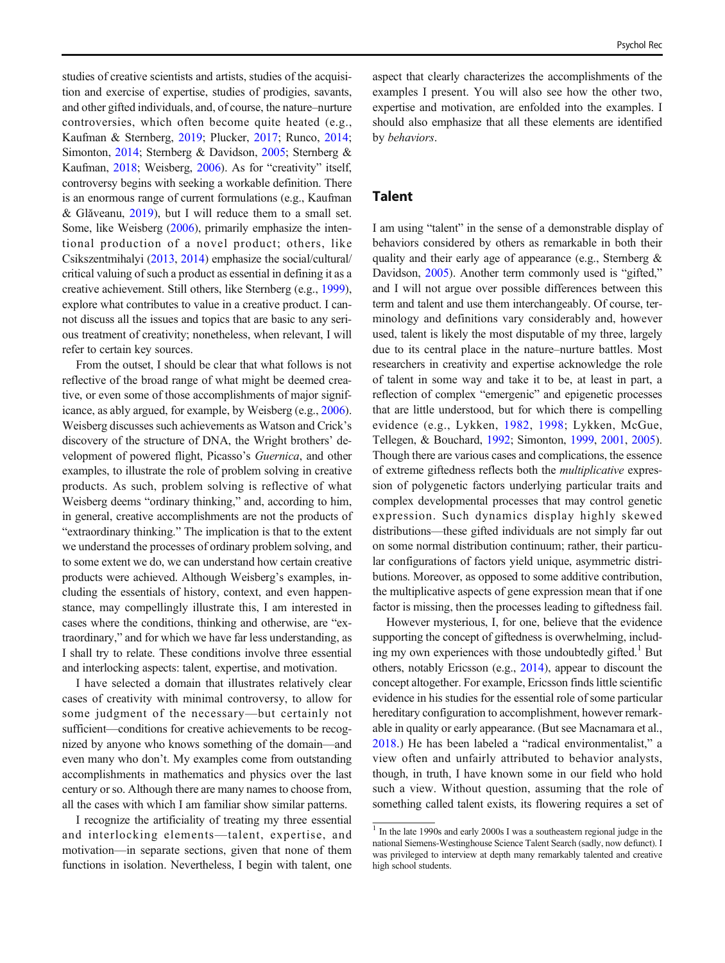studies of creative scientists and artists, studies of the acquisition and exercise of expertise, studies of prodigies, savants, and other gifted individuals, and, of course, the nature–nurture controversies, which often become quite heated (e.g., Kaufman & Sternberg, [2019](#page-5-0); Plucker, [2017](#page-5-0); Runco, [2014](#page-5-0); Simonton, [2014](#page-5-0); Sternberg & Davidson, [2005;](#page-5-0) Sternberg & Kaufman, [2018;](#page-5-0) Weisberg, [2006](#page-6-0)). As for "creativity" itself, controversy begins with seeking a workable definition. There is an enormous range of current formulations (e.g., Kaufman & Glăveanu, [2019](#page-5-0)), but I will reduce them to a small set. Some, like Weisberg [\(2006\)](#page-6-0), primarily emphasize the intentional production of a novel product; others, like Csikszentmihalyi [\(2013](#page-5-0), [2014](#page-5-0)) emphasize the social/cultural/ critical valuing of such a product as essential in defining it as a creative achievement. Still others, like Sternberg (e.g., [1999\)](#page-5-0), explore what contributes to value in a creative product. I cannot discuss all the issues and topics that are basic to any serious treatment of creativity; nonetheless, when relevant, I will refer to certain key sources.

From the outset, I should be clear that what follows is not reflective of the broad range of what might be deemed creative, or even some of those accomplishments of major significance, as ably argued, for example, by Weisberg (e.g., [2006\)](#page-6-0). Weisberg discusses such achievements as Watson and Crick's discovery of the structure of DNA, the Wright brothers' development of powered flight, Picasso's *Guernica*, and other examples, to illustrate the role of problem solving in creative products. As such, problem solving is reflective of what Weisberg deems "ordinary thinking," and, according to him, in general, creative accomplishments are not the products of "extraordinary thinking." The implication is that to the extent we understand the processes of ordinary problem solving, and to some extent we do, we can understand how certain creative products were achieved. Although Weisberg's examples, including the essentials of history, context, and even happenstance, may compellingly illustrate this, I am interested in cases where the conditions, thinking and otherwise, are "extraordinary," and for which we have far less understanding, as I shall try to relate. These conditions involve three essential and interlocking aspects: talent, expertise, and motivation.

I have selected a domain that illustrates relatively clear cases of creativity with minimal controversy, to allow for some judgment of the necessary—but certainly not sufficient—conditions for creative achievements to be recognized by anyone who knows something of the domain—and even many who don't. My examples come from outstanding accomplishments in mathematics and physics over the last century or so. Although there are many names to choose from, all the cases with which I am familiar show similar patterns.

I recognize the artificiality of treating my three essential and interlocking elements—talent, expertise, and motivation—in separate sections, given that none of them functions in isolation. Nevertheless, I begin with talent, one

aspect that clearly characterizes the accomplishments of the examples I present. You will also see how the other two, expertise and motivation, are enfolded into the examples. I should also emphasize that all these elements are identified by *behaviors*.

#### Talent

I am using "talent" in the sense of a demonstrable display of behaviors considered by others as remarkable in both their quality and their early age of appearance (e.g., Sternberg & Davidson, [2005\)](#page-5-0). Another term commonly used is "gifted," and I will not argue over possible differences between this term and talent and use them interchangeably. Of course, terminology and definitions vary considerably and, however used, talent is likely the most disputable of my three, largely due to its central place in the nature–nurture battles. Most researchers in creativity and expertise acknowledge the role of talent in some way and take it to be, at least in part, a reflection of complex "emergenic" and epigenetic processes that are little understood, but for which there is compelling evidence (e.g., Lykken, [1982](#page-5-0), [1998;](#page-5-0) Lykken, McGue, Tellegen, & Bouchard, [1992](#page-5-0); Simonton, [1999](#page-5-0), [2001](#page-5-0), [2005\)](#page-5-0). Though there are various cases and complications, the essence of extreme giftedness reflects both the *multiplicative* expression of polygenetic factors underlying particular traits and complex developmental processes that may control genetic expression. Such dynamics display highly skewed distributions—these gifted individuals are not simply far out on some normal distribution continuum; rather, their particular configurations of factors yield unique, asymmetric distributions. Moreover, as opposed to some additive contribution, the multiplicative aspects of gene expression mean that if one factor is missing, then the processes leading to giftedness fail.

However mysterious, I, for one, believe that the evidence supporting the concept of giftedness is overwhelming, including my own experiences with those undoubtedly gifted.<sup>1</sup> But others, notably Ericsson (e.g., [2014](#page-5-0)), appear to discount the concept altogether. For example, Ericsson finds little scientific evidence in his studies for the essential role of some particular hereditary configuration to accomplishment, however remarkable in quality or early appearance. (But see Macnamara et al., [2018.](#page-5-0)) He has been labeled a "radical environmentalist," a view often and unfairly attributed to behavior analysts, though, in truth, I have known some in our field who hold such a view. Without question, assuming that the role of something called talent exists, its flowering requires a set of

<sup>&</sup>lt;sup>1</sup> In the late 1990s and early 2000s I was a southeastern regional judge in the national Siemens-Westinghouse Science Talent Search (sadly, now defunct). I was privileged to interview at depth many remarkably talented and creative high school students.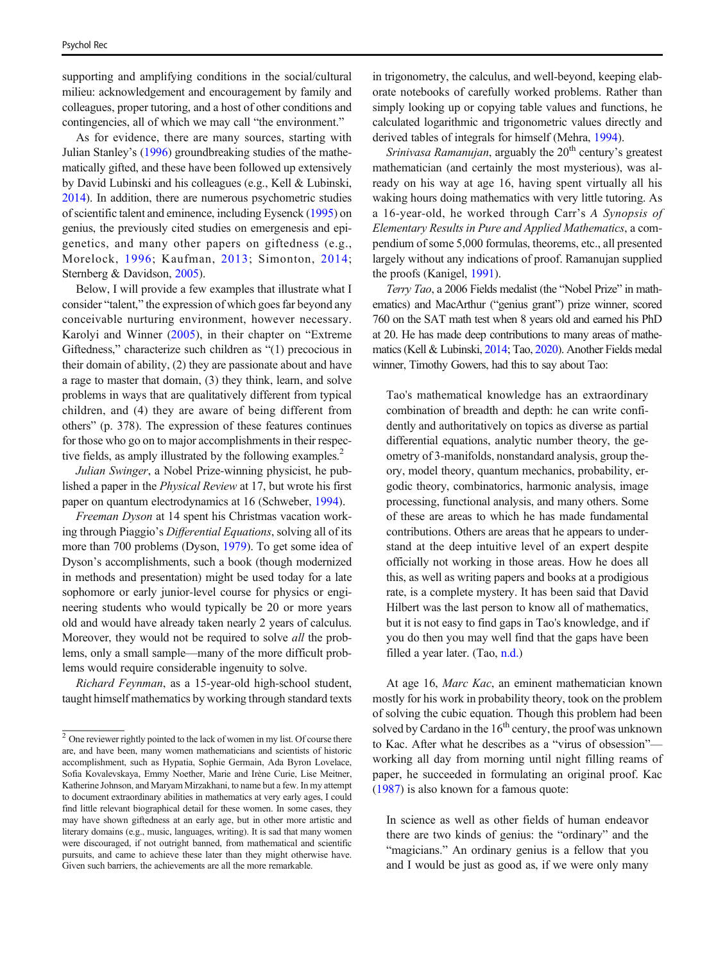supporting and amplifying conditions in the social/cultural milieu: acknowledgement and encouragement by family and colleagues, proper tutoring, and a host of other conditions and contingencies, all of which we may call "the environment."

As for evidence, there are many sources, starting with Julian Stanley's [\(1996\)](#page-5-0) groundbreaking studies of the mathematically gifted, and these have been followed up extensively by David Lubinski and his colleagues (e.g., Kell & Lubinski, [2014\)](#page-5-0). In addition, there are numerous psychometric studies of scientific talent and eminence, including Eysenck ([1995](#page-5-0)) on genius, the previously cited studies on emergenesis and epigenetics, and many other papers on giftedness (e.g., Morelock, [1996](#page-5-0); Kaufman, [2013](#page-5-0); Simonton, [2014](#page-5-0); Sternberg & Davidson, [2005](#page-5-0)).

Below, I will provide a few examples that illustrate what I consider "talent," the expression of which goes far beyond any conceivable nurturing environment, however necessary. Karolyi and Winner ([2005\)](#page-5-0), in their chapter on "Extreme Giftedness," characterize such children as "(1) precocious in their domain of ability, (2) they are passionate about and have a rage to master that domain, (3) they think, learn, and solve problems in ways that are qualitatively different from typical children, and (4) they are aware of being different from others" (p. 378). The expression of these features continues for those who go on to major accomplishments in their respective fields, as amply illustrated by the following examples.<sup>2</sup>

*Julian Swinger*, a Nobel Prize-winning physicist, he published a paper in the *Physical Review* at 17, but wrote his first paper on quantum electrodynamics at 16 (Schweber, [1994](#page-5-0)).

*Freeman Dyson* at 14 spent his Christmas vacation working through Piaggio's *Differential Equations*, solving all of its more than 700 problems (Dyson, [1979\)](#page-5-0). To get some idea of Dyson's accomplishments, such a book (though modernized in methods and presentation) might be used today for a late sophomore or early junior-level course for physics or engineering students who would typically be 20 or more years old and would have already taken nearly 2 years of calculus. Moreover, they would not be required to solve *all* the problems, only a small sample—many of the more difficult problems would require considerable ingenuity to solve.

*Richard Feynman*, as a 15-year-old high-school student, taught himself mathematics by working through standard texts

in trigonometry, the calculus, and well-beyond, keeping elaborate notebooks of carefully worked problems. Rather than simply looking up or copying table values and functions, he calculated logarithmic and trigonometric values directly and derived tables of integrals for himself (Mehra, [1994\)](#page-5-0).

*Srinivasa Ramanujan*, arguably the 20<sup>th</sup> century's greatest mathematician (and certainly the most mysterious), was already on his way at age 16, having spent virtually all his waking hours doing mathematics with very little tutoring. As a 16-year-old, he worked through Carr's *A Synopsis of Elementary Results in Pure and Applied Mathematics*, a compendium of some 5,000 formulas, theorems, etc., all presented largely without any indications of proof. Ramanujan supplied the proofs (Kanigel, [1991](#page-5-0)).

*Terry Tao*, a 2006 Fields medalist (the "Nobel Prize" in mathematics) and MacArthur ("genius grant") prize winner, scored 760 on the SAT math test when 8 years old and earned his PhD at 20. He has made deep contributions to many areas of mathematics (Kell & Lubinski, [2014;](#page-5-0) Tao, [2020](#page-5-0)). Another Fields medal winner, Timothy Gowers, had this to say about Tao:

Tao's mathematical knowledge has an extraordinary combination of breadth and depth: he can write confidently and authoritatively on topics as diverse as partial differential equations, analytic number theory, the geometry of 3-manifolds, nonstandard analysis, group theory, model theory, quantum mechanics, probability, ergodic theory, combinatorics, harmonic analysis, image processing, functional analysis, and many others. Some of these are areas to which he has made fundamental contributions. Others are areas that he appears to understand at the deep intuitive level of an expert despite officially not working in those areas. How he does all this, as well as writing papers and books at a prodigious rate, is a complete mystery. It has been said that David Hilbert was the last person to know all of mathematics, but it is not easy to find gaps in Tao's knowledge, and if you do then you may well find that the gaps have been filled a year later. (Tao, [n.d.](#page-5-0))

At age 16, *Marc Kac*, an eminent mathematician known mostly for his work in probability theory, took on the problem of solving the cubic equation. Though this problem had been solved by Cardano in the  $16<sup>th</sup>$  century, the proof was unknown to Kac. After what he describes as a "virus of obsession" working all day from morning until night filling reams of paper, he succeeded in formulating an original proof. Kac [\(1987\)](#page-5-0) is also known for a famous quote:

In science as well as other fields of human endeavor there are two kinds of genius: the "ordinary" and the "magicians." An ordinary genius is a fellow that you and I would be just as good as, if we were only many

<sup>&</sup>lt;sup>2</sup> One reviewer rightly pointed to the lack of women in my list. Of course there are, and have been, many women mathematicians and scientists of historic accomplishment, such as Hypatia, Sophie Germain, Ada Byron Lovelace, Sofia Kovalevskaya, Emmy Noether, Marie and Irène Curie, Lise Meitner, Katherine Johnson, and Maryam Mirzakhani, to name but a few. In my attempt to document extraordinary abilities in mathematics at very early ages, I could find little relevant biographical detail for these women. In some cases, they may have shown giftedness at an early age, but in other more artistic and literary domains (e.g., music, languages, writing). It is sad that many women were discouraged, if not outright banned, from mathematical and scientific pursuits, and came to achieve these later than they might otherwise have. Given such barriers, the achievements are all the more remarkable.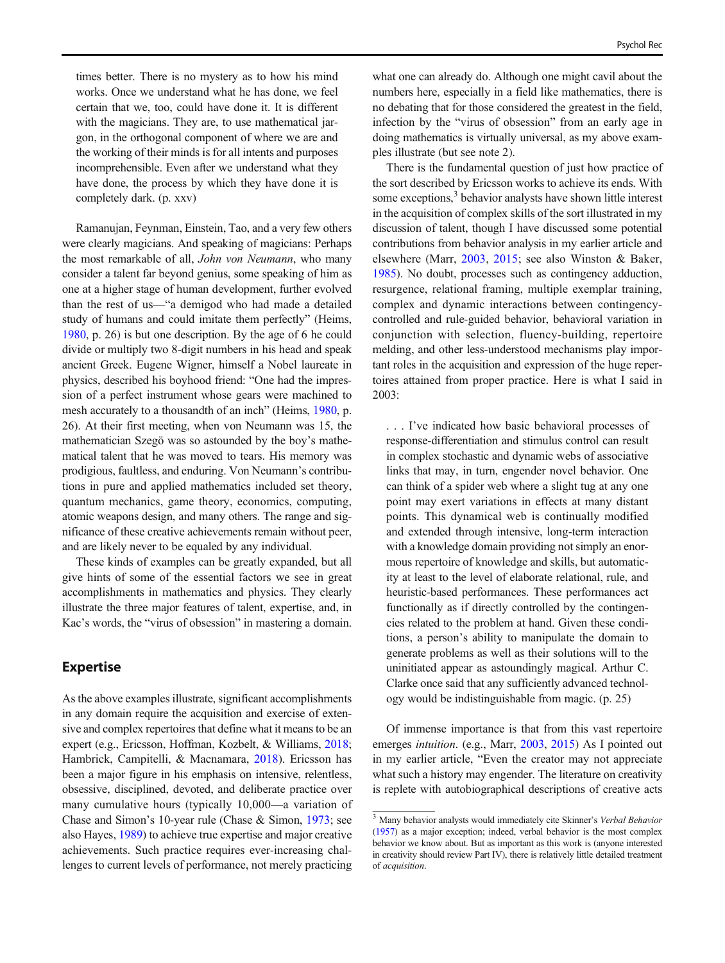times better. There is no mystery as to how his mind works. Once we understand what he has done, we feel certain that we, too, could have done it. It is different with the magicians. They are, to use mathematical jargon, in the orthogonal component of where we are and the working of their minds is for all intents and purposes incomprehensible. Even after we understand what they have done, the process by which they have done it is completely dark. (p. xxv)

Ramanujan, Feynman, Einstein, Tao, and a very few others were clearly magicians. And speaking of magicians: Perhaps the most remarkable of all, *John von Neumann*, who many consider a talent far beyond genius, some speaking of him as one at a higher stage of human development, further evolved than the rest of us—"a demigod who had made a detailed study of humans and could imitate them perfectly" (Heims, [1980,](#page-5-0) p. 26) is but one description. By the age of 6 he could divide or multiply two 8-digit numbers in his head and speak ancient Greek. Eugene Wigner, himself a Nobel laureate in physics, described his boyhood friend: "One had the impression of a perfect instrument whose gears were machined to mesh accurately to a thousandth of an inch" (Heims, [1980,](#page-5-0) p. 26). At their first meeting, when von Neumann was 15, the mathematician Szegö was so astounded by the boy's mathematical talent that he was moved to tears. His memory was prodigious, faultless, and enduring. Von Neumann's contributions in pure and applied mathematics included set theory, quantum mechanics, game theory, economics, computing, atomic weapons design, and many others. The range and significance of these creative achievements remain without peer, and are likely never to be equaled by any individual.

These kinds of examples can be greatly expanded, but all give hints of some of the essential factors we see in great accomplishments in mathematics and physics. They clearly illustrate the three major features of talent, expertise, and, in Kac's words, the "virus of obsession" in mastering a domain.

## Expertise

As the above examples illustrate, significant accomplishments in any domain require the acquisition and exercise of extensive and complex repertoires that define what it means to be an expert (e.g., Ericsson, Hoffman, Kozbelt, & Williams, [2018](#page-5-0); Hambrick, Campitelli, & Macnamara, [2018\)](#page-5-0). Ericsson has been a major figure in his emphasis on intensive, relentless, obsessive, disciplined, devoted, and deliberate practice over many cumulative hours (typically 10,000—a variation of Chase and Simon's 10-year rule (Chase & Simon, [1973](#page-5-0); see also Hayes, [1989](#page-5-0)) to achieve true expertise and major creative achievements. Such practice requires ever-increasing challenges to current levels of performance, not merely practicing

what one can already do. Although one might cavil about the numbers here, especially in a field like mathematics, there is no debating that for those considered the greatest in the field, infection by the "virus of obsession" from an early age in doing mathematics is virtually universal, as my above examples illustrate (but see note 2).

There is the fundamental question of just how practice of the sort described by Ericsson works to achieve its ends. With some exceptions,<sup>3</sup> behavior analysts have shown little interest in the acquisition of complex skills of the sort illustrated in my discussion of talent, though I have discussed some potential contributions from behavior analysis in my earlier article and elsewhere (Marr, [2003](#page-5-0), [2015;](#page-5-0) see also Winston & Baker, [1985\)](#page-6-0). No doubt, processes such as contingency adduction, resurgence, relational framing, multiple exemplar training, complex and dynamic interactions between contingencycontrolled and rule-guided behavior, behavioral variation in conjunction with selection, fluency-building, repertoire melding, and other less-understood mechanisms play important roles in the acquisition and expression of the huge repertoires attained from proper practice. Here is what I said in 2003:

...I've indicated how basic behavioral processes of response-differentiation and stimulus control can result in complex stochastic and dynamic webs of associative links that may, in turn, engender novel behavior. One can think of a spider web where a slight tug at any one point may exert variations in effects at many distant points. This dynamical web is continually modified and extended through intensive, long-term interaction with a knowledge domain providing not simply an enormous repertoire of knowledge and skills, but automaticity at least to the level of elaborate relational, rule, and heuristic-based performances. These performances act functionally as if directly controlled by the contingencies related to the problem at hand. Given these conditions, a person's ability to manipulate the domain to generate problems as well as their solutions will to the uninitiated appear as astoundingly magical. Arthur C. Clarke once said that any sufficiently advanced technology would be indistinguishable from magic. (p. 25)

Of immense importance is that from this vast repertoire emerges *intuition*. (e.g., Marr, [2003](#page-5-0), [2015](#page-5-0)) As I pointed out in my earlier article, "Even the creator may not appreciate what such a history may engender. The literature on creativity is replete with autobiographical descriptions of creative acts

<sup>3</sup> Many behavior analysts would immediately cite Skinner's *Verbal Behavior* ([1957](#page-5-0)) as a major exception; indeed, verbal behavior is the most complex behavior we know about. But as important as this work is (anyone interested in creativity should review Part IV), there is relatively little detailed treatment of *acquisition*.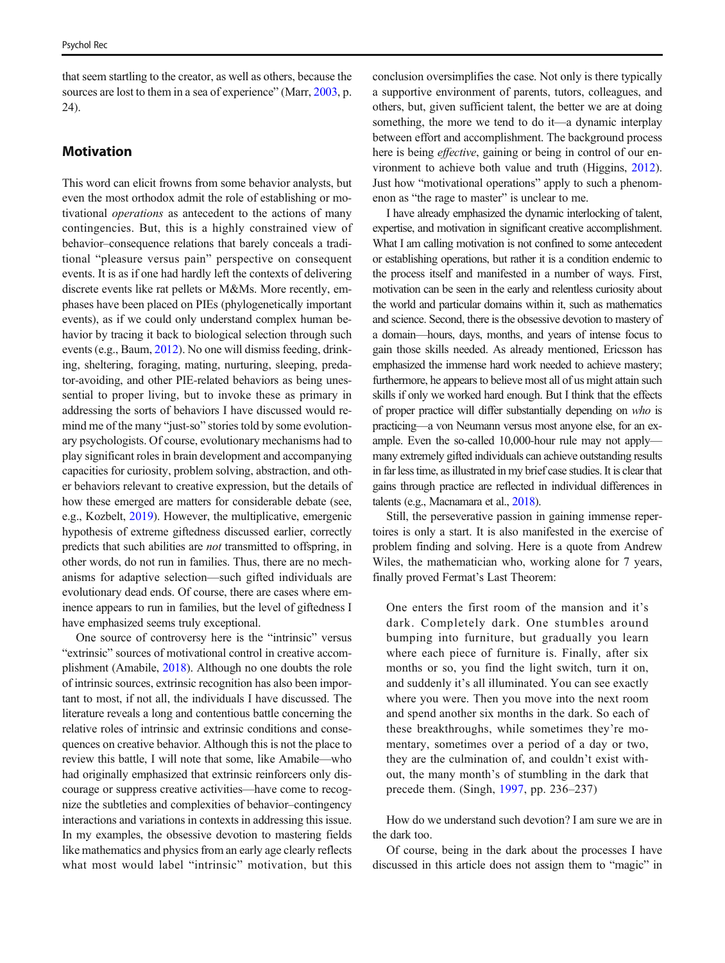that seem startling to the creator, as well as others, because the sources are lost to them in a sea of experience" (Marr, [2003](#page-5-0), p. 24).

## **Motivation**

This word can elicit frowns from some behavior analysts, but even the most orthodox admit the role of establishing or motivational *operations* as antecedent to the actions of many contingencies. But, this is a highly constrained view of behavior–consequence relations that barely conceals a traditional "pleasure versus pain" perspective on consequent events. It is as if one had hardly left the contexts of delivering discrete events like rat pellets or M&Ms. More recently, emphases have been placed on PIEs (phylogenetically important events), as if we could only understand complex human behavior by tracing it back to biological selection through such events (e.g., Baum, [2012\)](#page-5-0). No one will dismiss feeding, drinking, sheltering, foraging, mating, nurturing, sleeping, predator-avoiding, and other PIE-related behaviors as being unessential to proper living, but to invoke these as primary in addressing the sorts of behaviors I have discussed would remind me of the many "just-so" stories told by some evolutionary psychologists. Of course, evolutionary mechanisms had to play significant roles in brain development and accompanying capacities for curiosity, problem solving, abstraction, and other behaviors relevant to creative expression, but the details of how these emerged are matters for considerable debate (see, e.g., Kozbelt, [2019\)](#page-5-0). However, the multiplicative, emergenic hypothesis of extreme giftedness discussed earlier, correctly predicts that such abilities are *not* transmitted to offspring, in other words, do not run in families. Thus, there are no mechanisms for adaptive selection—such gifted individuals are evolutionary dead ends. Of course, there are cases where eminence appears to run in families, but the level of giftedness I have emphasized seems truly exceptional.

One source of controversy here is the "intrinsic" versus "extrinsic" sources of motivational control in creative accomplishment (Amabile, [2018](#page-5-0)). Although no one doubts the role of intrinsic sources, extrinsic recognition has also been important to most, if not all, the individuals I have discussed. The literature reveals a long and contentious battle concerning the relative roles of intrinsic and extrinsic conditions and consequences on creative behavior. Although this is not the place to review this battle, I will note that some, like Amabile—who had originally emphasized that extrinsic reinforcers only discourage or suppress creative activities—have come to recognize the subtleties and complexities of behavior–contingency interactions and variations in contexts in addressing this issue. In my examples, the obsessive devotion to mastering fields like mathematics and physics from an early age clearly reflects what most would label "intrinsic" motivation, but this conclusion oversimplifies the case. Not only is there typically a supportive environment of parents, tutors, colleagues, and others, but, given sufficient talent, the better we are at doing something, the more we tend to do it—a dynamic interplay between effort and accomplishment. The background process here is being *effective*, gaining or being in control of our environment to achieve both value and truth (Higgins, [2012\)](#page-5-0). Just how "motivational operations" apply to such a phenomenon as "the rage to master" is unclear to me.

I have already emphasized the dynamic interlocking of talent, expertise, and motivation in significant creative accomplishment. What I am calling motivation is not confined to some antecedent or establishing operations, but rather it is a condition endemic to the process itself and manifested in a number of ways. First, motivation can be seen in the early and relentless curiosity about the world and particular domains within it, such as mathematics and science. Second, there is the obsessive devotion to mastery of a domain—hours, days, months, and years of intense focus to gain those skills needed. As already mentioned, Ericsson has emphasized the immense hard work needed to achieve mastery; furthermore, he appears to believe most all of us might attain such skills if only we worked hard enough. But I think that the effects of proper practice will differ substantially depending on *who* is practicing—a von Neumann versus most anyone else, for an example. Even the so-called 10,000-hour rule may not apply many extremely gifted individuals can achieve outstanding results in far less time, as illustrated in my brief case studies. It is clear that gains through practice are reflected in individual differences in talents (e.g., Macnamara et al., [2018\)](#page-5-0).

Still, the perseverative passion in gaining immense repertoires is only a start. It is also manifested in the exercise of problem finding and solving. Here is a quote from Andrew Wiles, the mathematician who, working alone for 7 years, finally proved Fermat's Last Theorem:

One enters the first room of the mansion and it's dark. Completely dark. One stumbles around bumping into furniture, but gradually you learn where each piece of furniture is. Finally, after six months or so, you find the light switch, turn it on, and suddenly it's all illuminated. You can see exactly where you were. Then you move into the next room and spend another six months in the dark. So each of these breakthroughs, while sometimes they're momentary, sometimes over a period of a day or two, they are the culmination of, and couldn't exist without, the many month's of stumbling in the dark that precede them. (Singh, [1997,](#page-5-0) pp. 236–237)

How do we understand such devotion? I am sure we are in the dark too.

Of course, being in the dark about the processes I have discussed in this article does not assign them to "magic" in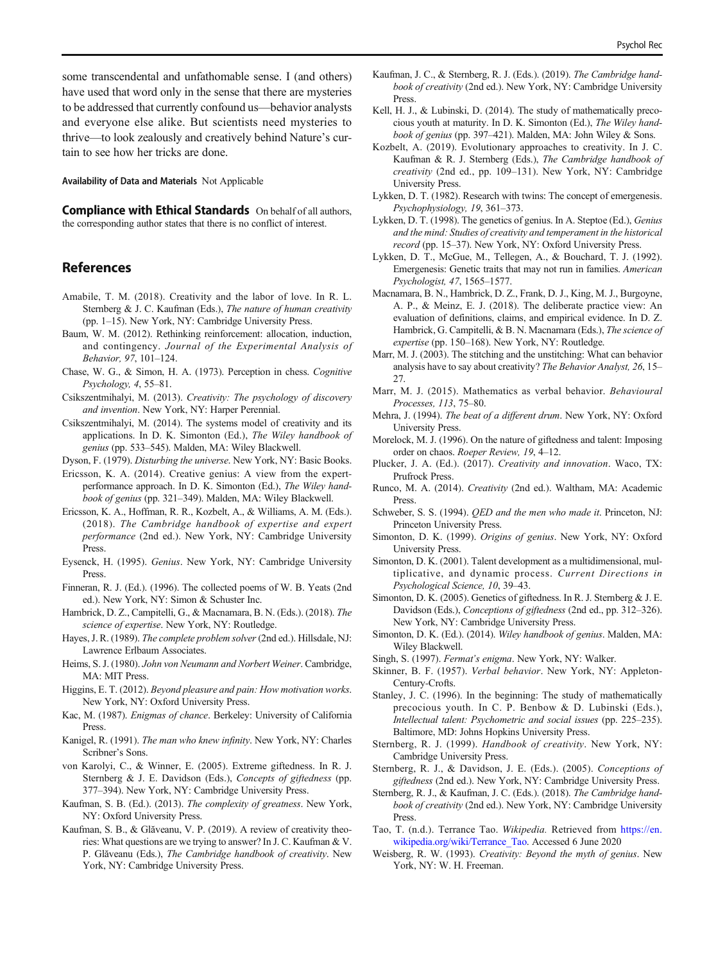<span id="page-5-0"></span>some transcendental and unfathomable sense. I (and others) have used that word only in the sense that there are mysteries to be addressed that currently confound us—behavior analysts and everyone else alike. But scientists need mysteries to thrive—to look zealously and creatively behind Nature's curtain to see how her tricks are done.

Availability of Data and Materials Not Applicable

Compliance with Ethical Standards On behalf of all authors, the corresponding author states that there is no conflict of interest.

#### References

- Amabile, T. M. (2018). Creativity and the labor of love. In R. L. Sternberg & J. C. Kaufman (Eds.), *The nature of human creativity* (pp. 1–15). New York, NY: Cambridge University Press.
- Baum, W. M. (2012). Rethinking reinforcement: allocation, induction, and contingency. *Journal of the Experimental Analysis of Behavior, 97*, 101–124.
- Chase, W. G., & Simon, H. A. (1973). Perception in chess. *Cognitive Psychology, 4*, 55–81.
- Csikszentmihalyi, M. (2013). *Creativity: The psychology of discovery and invention*. New York, NY: Harper Perennial.
- Csikszentmihalyi, M. (2014). The systems model of creativity and its applications. In D. K. Simonton (Ed.), *The Wiley handbook of genius* (pp. 533–545). Malden, MA: Wiley Blackwell.
- Dyson, F. (1979). *Disturbing the universe*. New York, NY: Basic Books.
- Ericsson, K. A. (2014). Creative genius: A view from the expertperformance approach. In D. K. Simonton (Ed.), *The Wiley handbook of genius* (pp. 321–349). Malden, MA: Wiley Blackwell.
- Ericsson, K. A., Hoffman, R. R., Kozbelt, A., & Williams, A. M. (Eds.). (2018). *The Cambridge handbook of expertise and expert performance* (2nd ed.). New York, NY: Cambridge University Press.
- Eysenck, H. (1995). *Genius*. New York, NY: Cambridge University Press.
- Finneran, R. J. (Ed.). (1996). The collected poems of W. B. Yeats (2nd ed.). New York, NY: Simon & Schuster Inc.
- Hambrick, D. Z., Campitelli, G., & Macnamara, B. N. (Eds.). (2018). *The science of expertise*. New York, NY: Routledge.
- Hayes, J. R. (1989). *The complete problem solver*(2nd ed.). Hillsdale, NJ: Lawrence Erlbaum Associates.
- Heims, S. J. (1980). *John von Neumann and Norbert Weiner*. Cambridge, MA: MIT Press.
- Higgins, E. T. (2012). *Beyond pleasure and pain: How motivation works*. New York, NY: Oxford University Press.
- Kac, M. (1987). *Enigmas of chance*. Berkeley: University of California Press.
- Kanigel, R. (1991). *The man who knew infinity*. New York, NY: Charles Scribner's Sons.
- von Karolyi, C., & Winner, E. (2005). Extreme giftedness. In R. J. Sternberg & J. E. Davidson (Eds.), *Concepts of giftedness* (pp. 377–394). New York, NY: Cambridge University Press.
- Kaufman, S. B. (Ed.). (2013). *The complexity of greatness*. New York, NY: Oxford University Press.
- Kaufman, S. B., & Glăveanu, V. P. (2019). A review of creativity theories: What questions are we trying to answer? In J. C. Kaufman & V. P. Glăveanu (Eds.), *The Cambridge handbook of creativity*. New York, NY: Cambridge University Press.

Psychol Rec

- Kaufman, J. C., & Sternberg, R. J. (Eds.). (2019). *The Cambridge handbook of creativity* (2nd ed.). New York, NY: Cambridge University Press.
- Kell, H. J., & Lubinski, D. (2014). The study of mathematically precocious youth at maturity. In D. K. Simonton (Ed.), *The Wiley handbook of genius* (pp. 397–421). Malden, MA: John Wiley & Sons.
- Kozbelt, A. (2019). Evolutionary approaches to creativity. In J. C. Kaufman & R. J. Sternberg (Eds.), *The Cambridge handbook of creativity* (2nd ed., pp. 109–131). New York, NY: Cambridge University Press.
- Lykken, D. T. (1982). Research with twins: The concept of emergenesis. *Psychophysiology, 19*, 361–373.
- Lykken, D. T. (1998). The genetics of genius. In A. Steptoe (Ed.), *Genius and the mind: Studies of creativity and temperament in the historical record* (pp. 15–37). New York, NY: Oxford University Press.
- Lykken, D. T., McGue, M., Tellegen, A., & Bouchard, T. J. (1992). Emergenesis: Genetic traits that may not run in families. *American Psychologist, 47*, 1565–1577.
- Macnamara, B. N., Hambrick, D. Z., Frank, D. J., King, M. J., Burgoyne, A. P., & Meinz, E. J. (2018). The deliberate practice view: An evaluation of definitions, claims, and empirical evidence. In D. Z. Hambrick, G. Campitelli, & B. N. Macnamara (Eds.), *The science of expertise* (pp. 150–168). New York, NY: Routledge.
- Marr, M. J. (2003). The stitching and the unstitching: What can behavior analysis have to say about creativity? *The Behavior Analyst, 26*, 15– 27.
- Marr, M. J. (2015). Mathematics as verbal behavior. *Behavioural Processes, 113*, 75–80.
- Mehra, J. (1994). *The beat of a different drum*. New York, NY: Oxford University Press.
- Morelock, M. J. (1996). On the nature of giftedness and talent: Imposing order on chaos. *Roeper Review, 19*, 4–12.
- Plucker, J. A. (Ed.). (2017). *Creativity and innovation*. Waco, TX: Prufrock Press.
- Runco, M. A. (2014). *Creativity* (2nd ed.). Waltham, MA: Academic Press.
- Schweber, S. S. (1994). *QED and the men who made it*. Princeton, NJ: Princeton University Press.
- Simonton, D. K. (1999). *Origins of genius*. New York, NY: Oxford University Press.
- Simonton, D. K. (2001). Talent development as a multidimensional, multiplicative, and dynamic process. *Current Directions in Psychological Science, 10*, 39–43.
- Simonton, D. K. (2005). Genetics of giftedness. In R. J. Sternberg & J. E. Davidson (Eds.), *Conceptions of giftedness* (2nd ed., pp. 312–326). New York, NY: Cambridge University Press.
- Simonton, D. K. (Ed.). (2014). *Wiley handbook of genius*. Malden, MA: Wiley Blackwell.
- Singh, S. (1997). *Fermat*'*s enigma*. New York, NY: Walker.
- Skinner, B. F. (1957). *Verbal behavior*. New York, NY: Appleton-Century-Crofts.
- Stanley, J. C. (1996). In the beginning: The study of mathematically precocious youth. In C. P. Benbow & D. Lubinski (Eds.), *Intellectual talent: Psychometric and social issues* (pp. 225–235). Baltimore, MD: Johns Hopkins University Press.
- Sternberg, R. J. (1999). *Handbook of creativity*. New York, NY: Cambridge University Press.
- Sternberg, R. J., & Davidson, J. E. (Eds.). (2005). *Conceptions of giftedness* (2nd ed.). New York, NY: Cambridge University Press.
- Sternberg, R. J., & Kaufman, J. C. (Eds.). (2018). *The Cambridge handbook of creativity* (2nd ed.). New York, NY: Cambridge University Press.
- Tao, T. (n.d.). Terrance Tao. *Wikipedia.* Retrieved from [https://en.](https://doi.org/https://en.wikipedia.org/wiki/Terrance_Tao) [wikipedia.org/wiki/Terrance\\_Tao.](https://doi.org/https://en.wikipedia.org/wiki/Terrance_Tao) Accessed 6 June 2020
- Weisberg, R. W. (1993). *Creativity: Beyond the myth of genius*. New York, NY: W. H. Freeman.